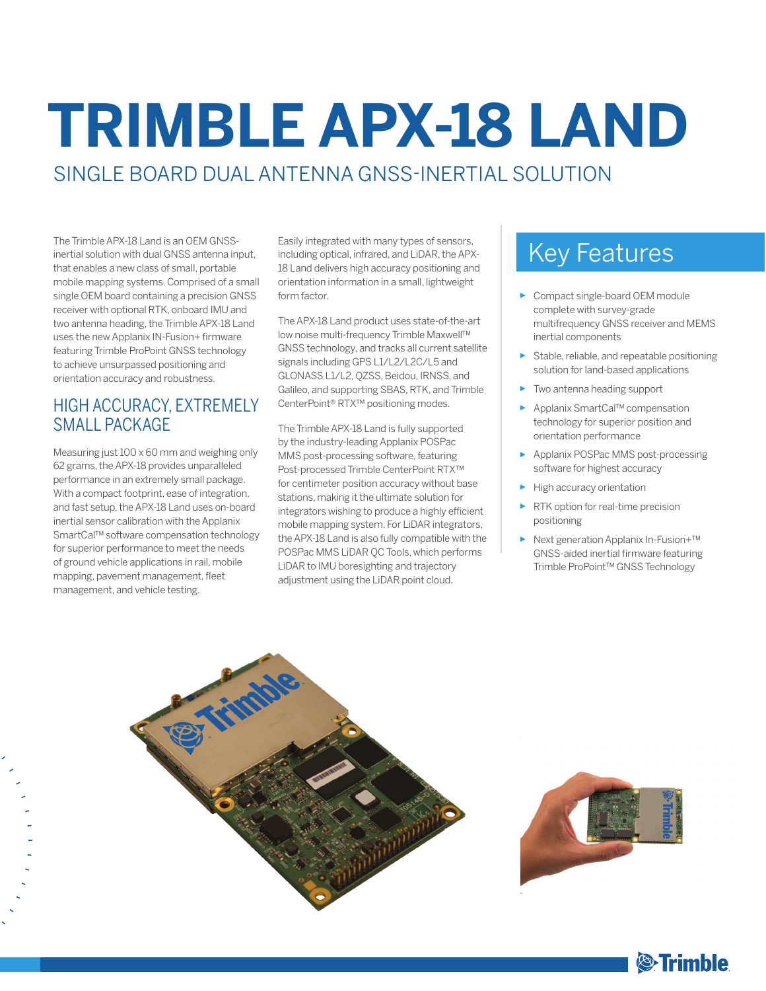# **TRIMBLE APX-18 LAND** SINGLE BOARD DUAL ANTENNA GNSS-INERTIAL SOLUTION

inertial solution with dual GNSS antenna input, that enables a new class of small, portable mobile mapping systems. Comprised of a small single OEM board containing a precision GNSS receiver with optional RTK, onboard IMU and two antenna heading, the Trimble APX-18 Land uses the new Applanix IN-Fusion+ firmware featuring Trimble ProPoint GNSS technology to achieve unsurpassed positioning and orientation accuracy and robustness.

### HIGH ACCURACY, EXTREMELY SMALL PACKAGE

Measuring just 100 x 60 mm and weighing only 62 grams, the APX-18 provides unparalleled performance in an extremely small package. With a compact footprint, ease of integration, and fast setup, the APX-18 Land uses on-board inertial sensor calibration with the Applanix SmartCal™ software compensation technology for superior performance to meet the needs of ground vehicle applications in rail, mobile mapping, pavement management, fleet management, and vehicle testing.

The Trimble APX-18 Land is an OEM GNSS-<br>inertial solution with dual GNSS antenna input, including optical, infrared, and LiDAR, the APX- Key Features Easily integrated with many types of sensors, including optical, infrared, and LiDAR, the APX-18 Land delivers high accuracy positioning and orientation information in a small, lightweight form factor.

> The APX-18 Land product uses state-of-the-art low noise multi-frequency Trimble Maxwell™ GNSS technology, and tracks all current satellite signals including GPS L1/L2/L2C/L5 and GLONASS L1/L2, QZSS, Beidou, IRNSS, and Galileo, and supporting SBAS, RTK, and Trimble CenterPoint® RTX™ positioning modes.

> The Trimble APX-18 Land is fully supported by the industry-leading Applanix POSPac MMS post-processing software, featuring Post-processed Trimble CenterPoint RTX™ for centimeter position accuracy without base stations, making it the ultimate solution for integrators wishing to produce a highly efficient mobile mapping system. For LiDAR integrators, the APX-18 Land is also fully compatible with the POSPac MMS LiDAR QC Tools, which performs LiDAR to IMU boresighting and trajectory adjustment using the LiDAR point cloud.

- ► Compact single-board OEM module complete with survey-grade multifrequency GNSS receiver and MEMS inertial components
- ► Stable, reliable, and repeatable positioning solution for land-based applications
- ► Two antenna heading support
- ► Applanix SmartCal™ compensation technology for superior position and orientation performance
- ► Applanix POSPac MMS post-processing software for highest accuracy
- High accuracy orientation
- ► RTK option for real-time precision positioning
- ► Next generation Applanix In-Fusion+™ GNSS-aided inertial firmware featuring Trimble ProPoint™ GNSS Technology